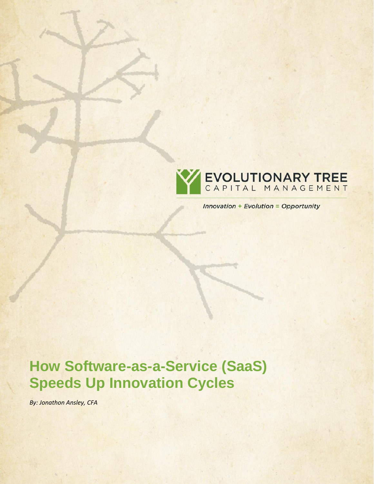

**Innovation + Evolution = Opportunity** 

# **How Software-as-a-Service (SaaS) Speeds Up Innovation Cycles**

*By: Jonathon Ansley, CFA*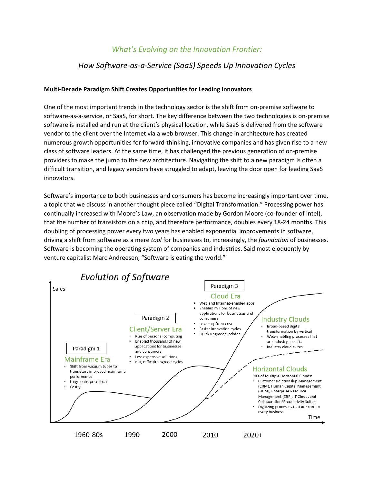## *What's Evolving on the Innovation Frontier:*

## *How Software-as-a-Service (SaaS) Speeds Up Innovation Cycles*

#### **Multi-Decade Paradigm Shift Creates Opportunities for Leading Innovators**

One of the most important trends in the technology sector is the shift from on-premise software to software-as-a-service, or SaaS, for short. The key difference between the two technologies is on-premise software is installed and run at the client's physical location, while SaaS is delivered from the software vendor to the client over the Internet via a web browser. This change in architecture has created numerous growth opportunities for forward-thinking, innovative companies and has given rise to a new class of software leaders. At the same time, it has challenged the previous generation of on-premise providers to make the jump to the new architecture. Navigating the shift to a new paradigm is often a difficult transition, and legacy vendors have struggled to adapt, leaving the door open for leading SaaS innovators.

Software's importance to both businesses and consumers has become increasingly important over time, a topic that we discuss in another thought piece called "Digital Transformation." Processing power has continually increased with Moore's Law, an observation made by Gordon Moore (co-founder of Intel), that the number of transistors on a chip, and therefore performance, doubles every 18-24 months. This doubling of processing power every two years has enabled exponential improvements in software, driving a shift from software as a mere *tool* for businesses to, increasingly, the *foundation* of businesses. Software is becoming the operating system of companies and industries. Said most eloquently by venture capitalist Marc Andreesen, "Software is eating the world."

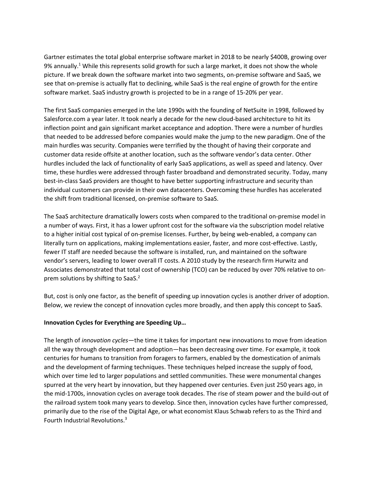Gartner estimates the total global enterprise software market in 2018 to be nearly \$400B, growing over 9% annually.<sup>1</sup> While this represents solid growth for such a large market, it does not show the whole picture. If we break down the software market into two segments, on-premise software and SaaS, we see that on-premise is actually flat to declining, while SaaS is the real engine of growth for the entire software market. SaaS industry growth is projected to be in a range of 15-20% per year.

The first SaaS companies emerged in the late 1990s with the founding of NetSuite in 1998, followed by Salesforce.com a year later. It took nearly a decade for the new cloud-based architecture to hit its inflection point and gain significant market acceptance and adoption. There were a number of hurdles that needed to be addressed before companies would make the jump to the new paradigm. One of the main hurdles was security. Companies were terrified by the thought of having their corporate and customer data reside offsite at another location, such as the software vendor's data center. Other hurdles included the lack of functionality of early SaaS applications, as well as speed and latency. Over time, these hurdles were addressed through faster broadband and demonstrated security. Today, many best-in-class SaaS providers are thought to have better supporting infrastructure and security than individual customers can provide in their own datacenters. Overcoming these hurdles has accelerated the shift from traditional licensed, on-premise software to SaaS.

The SaaS architecture dramatically lowers costs when compared to the traditional on-premise model in a number of ways. First, it has a lower upfront cost for the software via the subscription model relative to a higher initial cost typical of on-premise licenses. Further, by being web-enabled, a company can literally turn on applications, making implementations easier, faster, and more cost-effective. Lastly, fewer IT staff are needed because the software is installed, run, and maintained on the software vendor's servers, leading to lower overall IT costs. A 2010 study by the research firm Hurwitz and Associates demonstrated that total cost of ownership (TCO) can be reduced by over 70% relative to onprem solutions by shifting to SaaS.<sup>2</sup>

But, cost is only one factor, as the benefit of speeding up innovation cycles is another driver of adoption. Below, we review the concept of innovation cycles more broadly, and then apply this concept to SaaS.

#### **Innovation Cycles for Everything are Speeding Up…**

The length of *innovation cycles*—the time it takes for important new innovations to move from ideation all the way through development and adoption—has been decreasing over time. For example, it took centuries for humans to transition from foragers to farmers, enabled by the domestication of animals and the development of farming techniques. These techniques helped increase the supply of food, which over time led to larger populations and settled communities. These were monumental changes spurred at the very heart by innovation, but they happened over centuries. Even just 250 years ago, in the mid-1700s, innovation cycles on average took decades. The rise of steam power and the build-out of the railroad system took many years to develop. Since then, innovation cycles have further compressed, primarily due to the rise of the Digital Age, or what economist Klaus Schwab refers to as the Third and Fourth Industrial Revolutions. 3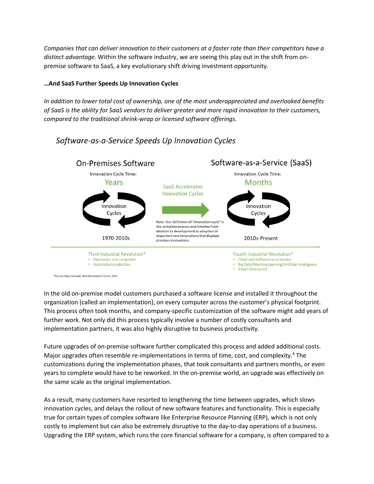*Companies that can deliver innovation to their customers at a faster rate than their competitors have a distinct advantage*. Within the software industry, we are seeing this play out in the shift from onpremise software to SaaS, a key evolutionary shift driving investment opportunity.

### **…And SaaS Further Speeds Up Innovation Cycles**

*In addition to lower total cost of ownership, one of the most underappreciated and overlooked benefits of SaaS is the ability for SaaS vendors to deliver greater and more rapid innovation to their customers, compared to the traditional shrink-wrap or licensed software offerings*.



## Software-as-a-Service Speeds Up Innovation Cycles

In the old on-premise model customers purchased a software license and installed it throughout the organization (called an implementation), on every computer across the customer's physical footprint. This process often took months, and company-specific customization of the software might add years of further work. Not only did this process typically involve a number of costly consultants and implementation partners, it was also highly disruptive to business productivity.

Future upgrades of on-premise software further complicated this process and added additional costs. Major upgrades often resemble re-implementations in terms of time, cost, and complexity.<sup>4</sup> The customizations during the implementation phases, that took consultants and partners months, or even years to complete would have to be reworked. In the on-premise world, an upgrade was effectively on the same scale as the original implementation.

As a result, many customers have resorted to lengthening the time between upgrades, which slows innovation cycles, and delays the rollout of new software features and functionality. This is especially true for certain types of complex software like Enterprise Resource Planning (ERP), which is not only costly to implement but can also be extremely disruptive to the day-to-day operations of a business. Upgrading the ERP system, which runs the core financial software for a company, is often compared to a